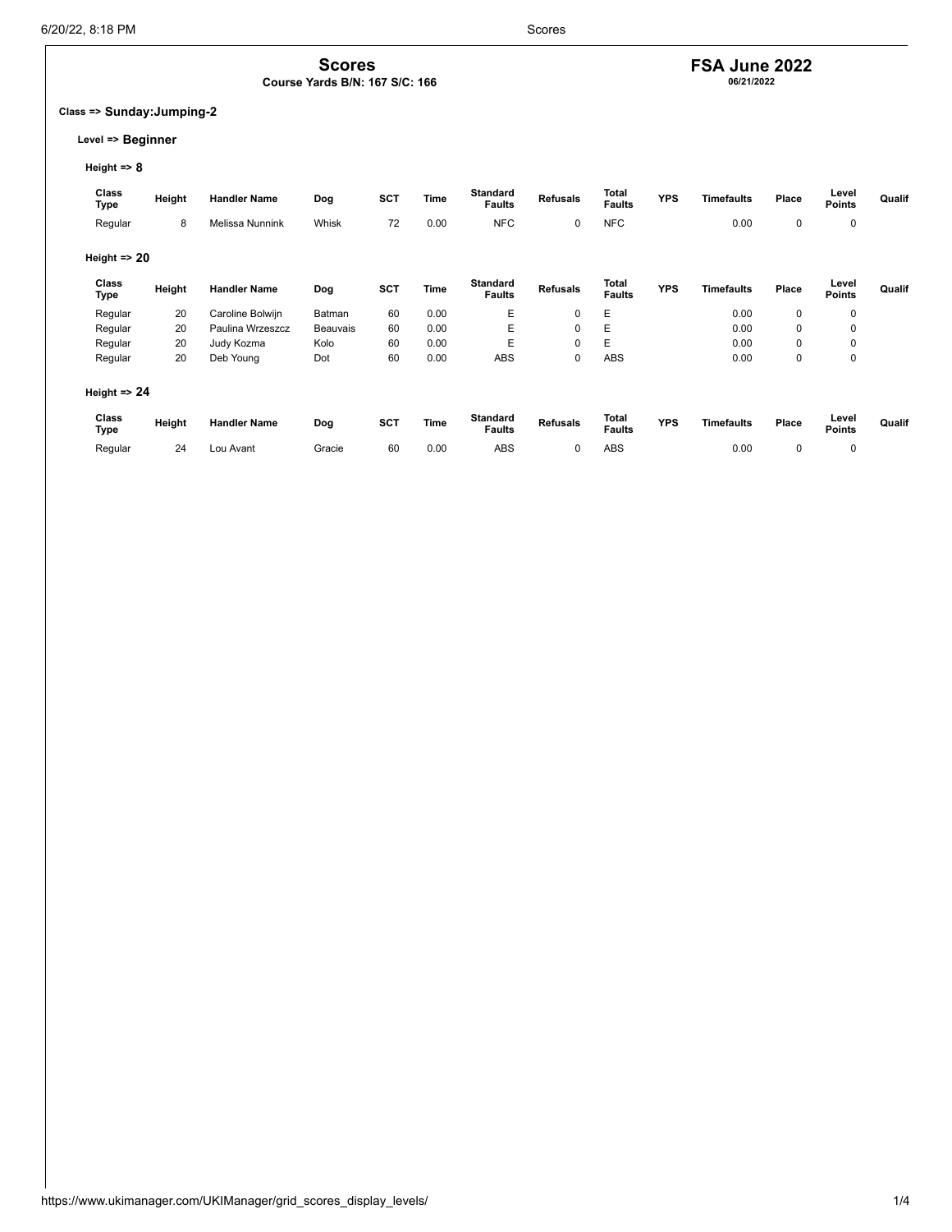### **FSA June 2022**

**06/21/2022**

### **Class => Sunday:Jumping-2**

### **Level => Beginner**

**Height => 8**

| Class<br>Type           | Height | <b>Handler Name</b> | Dog      | <b>SCT</b> | Time | <b>Standard</b><br><b>Faults</b> | <b>Refusals</b> | Total<br><b>Faults</b>        | <b>YPS</b> | <b>Timefaults</b> | Place       | Level<br><b>Points</b> | Qualif |
|-------------------------|--------|---------------------|----------|------------|------|----------------------------------|-----------------|-------------------------------|------------|-------------------|-------------|------------------------|--------|
| Regular                 | 8      | Melissa Nunnink     | Whisk    | 72         | 0.00 | <b>NFC</b>                       | 0               | <b>NFC</b>                    |            | 0.00              | 0           | 0                      |        |
| Height $\Rightarrow$ 20 |        |                     |          |            |      |                                  |                 |                               |            |                   |             |                        |        |
| Class<br>Type           | Height | <b>Handler Name</b> | Dog      | <b>SCT</b> | Time | <b>Standard</b><br><b>Faults</b> | <b>Refusals</b> | <b>Total</b><br><b>Faults</b> | <b>YPS</b> | <b>Timefaults</b> | Place       | Level<br><b>Points</b> | Qualif |
| Regular                 | 20     | Caroline Bolwijn    | Batman   | 60         | 0.00 | Ε                                | $\mathbf 0$     | Е                             |            | 0.00              | 0           | 0                      |        |
| Regular                 | 20     | Paulina Wrzeszcz    | Beauvais | 60         | 0.00 | Ε                                | 0               | E                             |            | 0.00              | $\mathbf 0$ | 0                      |        |
| Regular                 | 20     | Judy Kozma          | Kolo     | 60         | 0.00 | E                                | $\mathbf 0$     | E                             |            | 0.00              | 0           | 0                      |        |
| Regular                 | 20     | Deb Young           | Dot      | 60         | 0.00 | <b>ABS</b>                       | 0               | <b>ABS</b>                    |            | 0.00              | 0           | 0                      |        |
| Height $\Rightarrow$ 24 |        |                     |          |            |      |                                  |                 |                               |            |                   |             |                        |        |
| Class<br>Type           | Height | <b>Handler Name</b> | Dog      | <b>SCT</b> | Time | Standard<br><b>Faults</b>        | <b>Refusals</b> | Total<br><b>Faults</b>        | <b>YPS</b> | <b>Timefaults</b> | Place       | Level<br><b>Points</b> | Qualif |
| Regular                 | 24     | Lou Avant           | Gracie   | 60         | 0.00 | <b>ABS</b>                       | 0               | <b>ABS</b>                    |            | 0.00              | 0           | 0                      |        |

**Scores Course Yards B/N: 167 S/C: 166**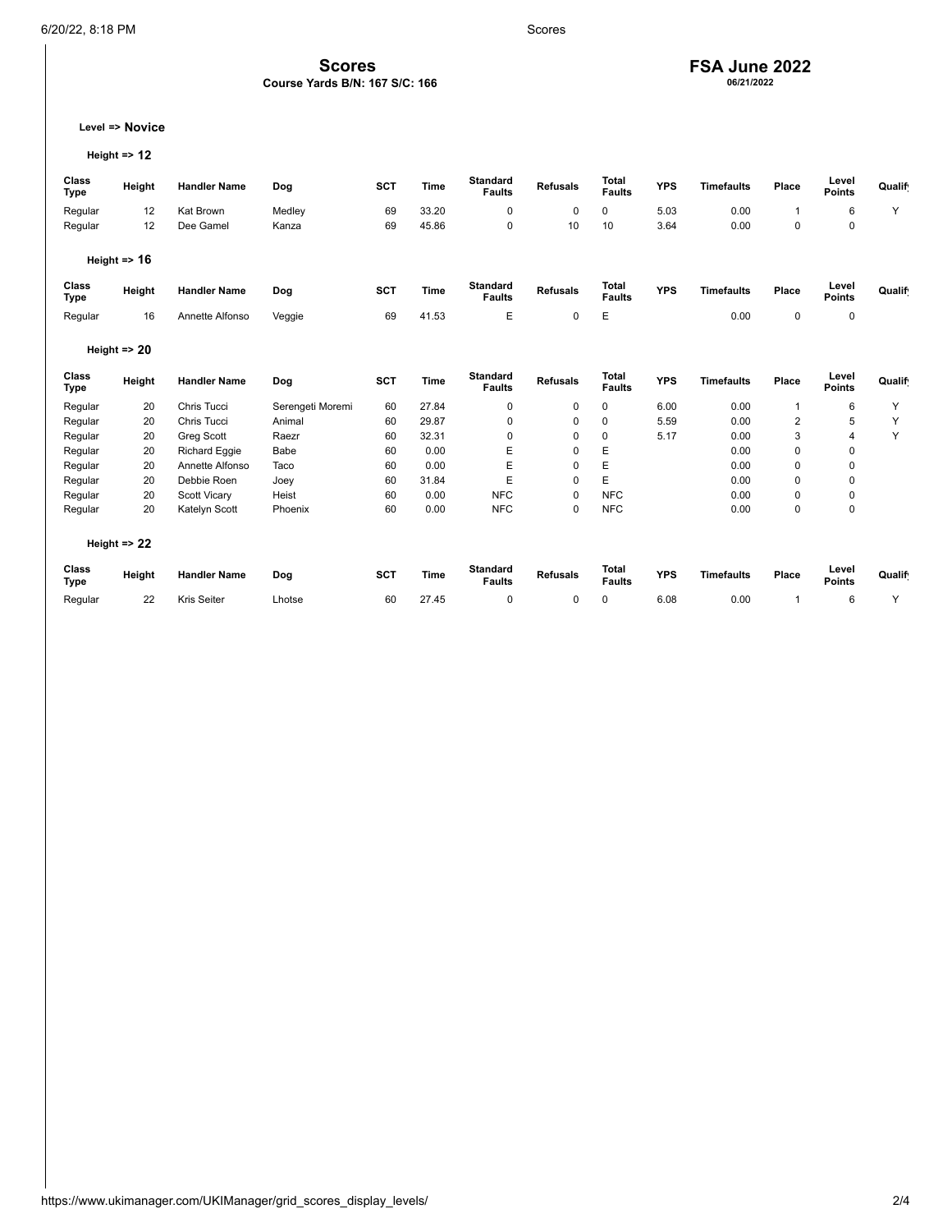# **FSA June 2022 06/21/2022**

**Level => Novice**

```
Height => 12
```

| Class<br><b>Type</b> | Height                  | <b>Handler Name</b> | Dog              | <b>SCT</b> | <b>Time</b> | <b>Standard</b><br><b>Faults</b> | <b>Refusals</b> | <b>Total</b><br><b>Faults</b> | <b>YPS</b> | <b>Timefaults</b> | Place          | Level<br><b>Points</b> | Qualif |
|----------------------|-------------------------|---------------------|------------------|------------|-------------|----------------------------------|-----------------|-------------------------------|------------|-------------------|----------------|------------------------|--------|
| Regular              | 12                      | Kat Brown           | Medley           | 69         | 33.20       | $\mathbf 0$                      | 0               | $\mathbf 0$                   | 5.03       | 0.00              | 1              | 6                      | Y      |
| Regular              | 12                      | Dee Gamel           | Kanza            | 69         | 45.86       | $\mathbf 0$                      | 10              | 10                            | 3.64       | 0.00              | 0              | 0                      |        |
|                      | Height $\Rightarrow$ 16 |                     |                  |            |             |                                  |                 |                               |            |                   |                |                        |        |
| Class<br><b>Type</b> | Height                  | <b>Handler Name</b> | Dog              | <b>SCT</b> | <b>Time</b> | <b>Standard</b><br><b>Faults</b> | <b>Refusals</b> | <b>Total</b><br><b>Faults</b> | <b>YPS</b> | <b>Timefaults</b> | Place          | Level<br><b>Points</b> | Qualif |
| Regular              | 16                      | Annette Alfonso     | Veggie           | 69         | 41.53       | E                                | 0               | E                             |            | 0.00              | 0              | 0                      |        |
|                      | Height $\Rightarrow$ 20 |                     |                  |            |             |                                  |                 |                               |            |                   |                |                        |        |
| Class<br><b>Type</b> | Height                  | <b>Handler Name</b> | Dog              | <b>SCT</b> | <b>Time</b> | <b>Standard</b><br><b>Faults</b> | <b>Refusals</b> | <b>Total</b><br><b>Faults</b> | <b>YPS</b> | <b>Timefaults</b> | Place          | Level<br><b>Points</b> | Qualif |
| Regular              | 20                      | Chris Tucci         | Serengeti Moremi | 60         | 27.84       | $\mathbf 0$                      | 0               | $\mathbf 0$                   | 6.00       | 0.00              | 1              | 6                      | Y      |
| Regular              | 20                      | Chris Tucci         | Animal           | 60         | 29.87       | 0                                | 0               | 0                             | 5.59       | 0.00              | $\overline{2}$ | 5                      | Υ      |
| Regular              | 20                      | Greg Scott          | Raezr            | 60         | 32.31       | $\mathbf 0$                      | 0               | $\mathbf 0$                   | 5.17       | 0.00              | 3              | 4                      | Y      |
| Regular              | 20                      | Richard Eggie       | Babe             | 60         | 0.00        | E                                | 0               | E                             |            | 0.00              | 0              | 0                      |        |
| Regular              | 20                      | Annette Alfonso     | Taco             | 60         | 0.00        | E                                | $\mathbf 0$     | E                             |            | 0.00              | 0              | 0                      |        |
| Regular              | 20                      | Debbie Roen         | Joey             | 60         | 31.84       | E                                | 0               | E                             |            | 0.00              | 0              | 0                      |        |
| Regular              | 20                      | Scott Vicary        | Heist            | 60         | 0.00        | <b>NFC</b>                       | 0               | <b>NFC</b>                    |            | 0.00              | 0              | 0                      |        |
| Regular              | 20                      | Katelyn Scott       | Phoenix          | 60         | 0.00        | <b>NFC</b>                       | 0               | <b>NFC</b>                    |            | 0.00              | 0              | 0                      |        |
|                      | Height $\Rightarrow$ 22 |                     |                  |            |             |                                  |                 |                               |            |                   |                |                        |        |
| Class<br><b>Type</b> | Height                  | <b>Handler Name</b> | Dog              | <b>SCT</b> | <b>Time</b> | <b>Standard</b><br><b>Faults</b> | <b>Refusals</b> | <b>Total</b><br><b>Faults</b> | <b>YPS</b> | <b>Timefaults</b> | Place          | Level<br><b>Points</b> | Qualif |
| Regular              | 22                      | Kris Seiter         | Lhotse           | 60         | 27.45       | $\mathbf 0$                      | 0               | $\mathbf 0$                   | 6.08       | 0.00              | 1              | 6                      | Y      |

**Scores Course Yards B/N: 167 S/C: 166**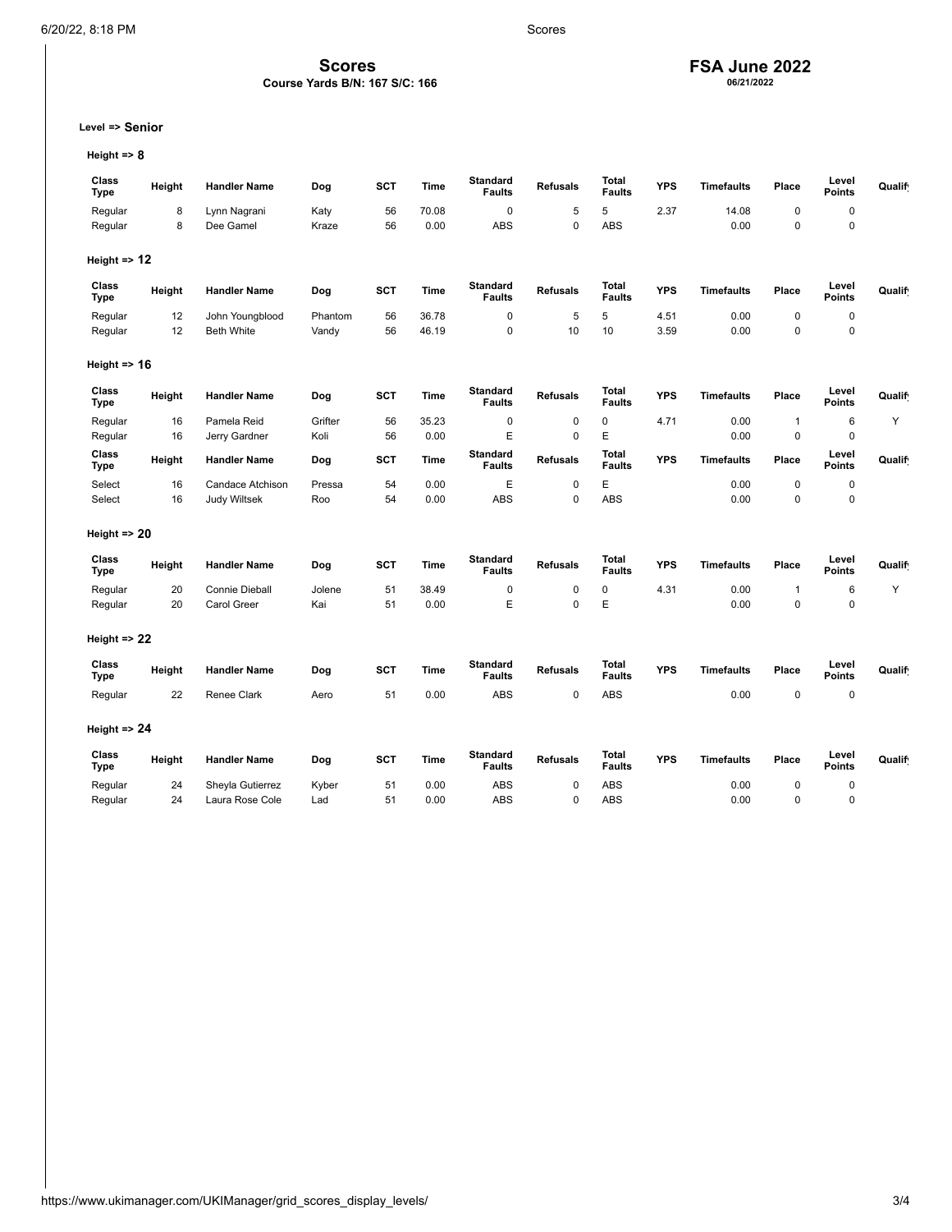**Scores Course Yards B/N: 167 S/C: 166**

## **FSA June 2022 06/21/2022**

**Level => Senior**

**Height => 8**

| Class<br><b>Type</b>    | Height | <b>Handler Name</b>   | Dog     | <b>SCT</b> | Time        | <b>Standard</b><br><b>Faults</b> | <b>Refusals</b> | <b>Total</b><br><b>Faults</b> | <b>YPS</b> | <b>Timefaults</b> | Place        | Level<br><b>Points</b> | Qualif |
|-------------------------|--------|-----------------------|---------|------------|-------------|----------------------------------|-----------------|-------------------------------|------------|-------------------|--------------|------------------------|--------|
| Regular                 | 8      | Lynn Nagrani          | Katy    | 56         | 70.08       | $\pmb{0}$                        | 5               | 5                             | 2.37       | 14.08             | 0            | $\pmb{0}$              |        |
| Regular                 | 8      | Dee Gamel             | Kraze   | 56         | 0.00        | ABS                              | $\mathbf 0$     | <b>ABS</b>                    |            | 0.00              | 0            | $\mathbf 0$            |        |
| Height $\Rightarrow$ 12 |        |                       |         |            |             |                                  |                 |                               |            |                   |              |                        |        |
| Class<br><b>Type</b>    | Height | <b>Handler Name</b>   | Dog     | <b>SCT</b> | Time        | <b>Standard</b><br><b>Faults</b> | <b>Refusals</b> | Total<br><b>Faults</b>        | <b>YPS</b> | <b>Timefaults</b> | Place        | Level<br><b>Points</b> | Qualif |
| Regular                 | 12     | John Youngblood       | Phantom | 56         | 36.78       | $\pmb{0}$                        | 5               | 5                             | 4.51       | 0.00              | 0            | $\mathbf 0$            |        |
| Regular                 | 12     | <b>Beth White</b>     | Vandy   | 56         | 46.19       | 0                                | 10              | 10                            | 3.59       | 0.00              | 0            | $\pmb{0}$              |        |
| Height $\Rightarrow$ 16 |        |                       |         |            |             |                                  |                 |                               |            |                   |              |                        |        |
| Class<br><b>Type</b>    | Height | <b>Handler Name</b>   | Dog     | <b>SCT</b> | Time        | <b>Standard</b><br><b>Faults</b> | <b>Refusals</b> | Total<br><b>Faults</b>        | <b>YPS</b> | <b>Timefaults</b> | Place        | Level<br><b>Points</b> | Qualif |
| Regular                 | 16     | Pamela Reid           | Grifter | 56         | 35.23       | $\pmb{0}$                        | $\pmb{0}$       | 0                             | 4.71       | 0.00              | $\mathbf{1}$ | $\,6\,$                | Y      |
| Regular                 | 16     | Jerry Gardner         | Koli    | 56         | 0.00        | E                                | $\mathbf 0$     | E                             |            | 0.00              | $\mathbf 0$  | $\mathbf 0$            |        |
| Class<br><b>Type</b>    | Height | <b>Handler Name</b>   | Dog     | <b>SCT</b> | Time        | <b>Standard</b><br><b>Faults</b> | <b>Refusals</b> | <b>Total</b><br><b>Faults</b> | <b>YPS</b> | <b>Timefaults</b> | Place        | Level<br><b>Points</b> | Qualif |
| Select                  | 16     | Candace Atchison      | Pressa  | 54         | 0.00        | E                                | $\pmb{0}$       | E                             |            | 0.00              | 0            | $\pmb{0}$              |        |
| Select                  | 16     | <b>Judy Wiltsek</b>   | Roo     | 54         | 0.00        | <b>ABS</b>                       | $\mathbf 0$     | <b>ABS</b>                    |            | 0.00              | 0            | $\mathbf 0$            |        |
| Height $\approx$ 20     |        |                       |         |            |             |                                  |                 |                               |            |                   |              |                        |        |
| Class<br><b>Type</b>    | Height | <b>Handler Name</b>   | Dog     | <b>SCT</b> | Time        | <b>Standard</b><br><b>Faults</b> | <b>Refusals</b> | Total<br><b>Faults</b>        | <b>YPS</b> | <b>Timefaults</b> | Place        | Level<br><b>Points</b> | Qualif |
| Regular                 | 20     | <b>Connie Dieball</b> | Jolene  | 51         | 38.49       | $\pmb{0}$                        | $\mathbf 0$     | 0                             | 4.31       | 0.00              | $\mathbf{1}$ | 6                      | Υ      |
| Regular                 | 20     | Carol Greer           | Kai     | 51         | 0.00        | E                                | $\mathbf 0$     | E                             |            | 0.00              | $\mathbf 0$  | $\mathbf 0$            |        |
| Height $\Rightarrow$ 22 |        |                       |         |            |             |                                  |                 |                               |            |                   |              |                        |        |
| Class<br><b>Type</b>    | Height | <b>Handler Name</b>   | Dog     | <b>SCT</b> | <b>Time</b> | <b>Standard</b><br><b>Faults</b> | <b>Refusals</b> | Total<br><b>Faults</b>        | <b>YPS</b> | <b>Timefaults</b> | Place        | Level<br><b>Points</b> | Qualif |
| Regular                 | 22     | Renee Clark           | Aero    | 51         | 0.00        | <b>ABS</b>                       | $\pmb{0}$       | ABS                           |            | 0.00              | 0            | $\mathbf 0$            |        |
| Height $\Rightarrow$ 24 |        |                       |         |            |             |                                  |                 |                               |            |                   |              |                        |        |
| Class<br><b>Type</b>    | Height | <b>Handler Name</b>   | Dog     | <b>SCT</b> | <b>Time</b> | <b>Standard</b><br><b>Faults</b> | <b>Refusals</b> | Total<br><b>Faults</b>        | <b>YPS</b> | <b>Timefaults</b> | Place        | Level<br><b>Points</b> | Qualif |
| Regular                 | 24     | Sheyla Gutierrez      | Kyber   | 51         | 0.00        | <b>ABS</b>                       | $\mathbf 0$     | <b>ABS</b>                    |            | 0.00              | 0            | $\mathbf 0$            |        |
| Regular                 | 24     | Laura Rose Cole       | Lad     | 51         | 0.00        | <b>ABS</b>                       | $\mathbf 0$     | <b>ABS</b>                    |            | 0.00              | 0            | $\Omega$               |        |